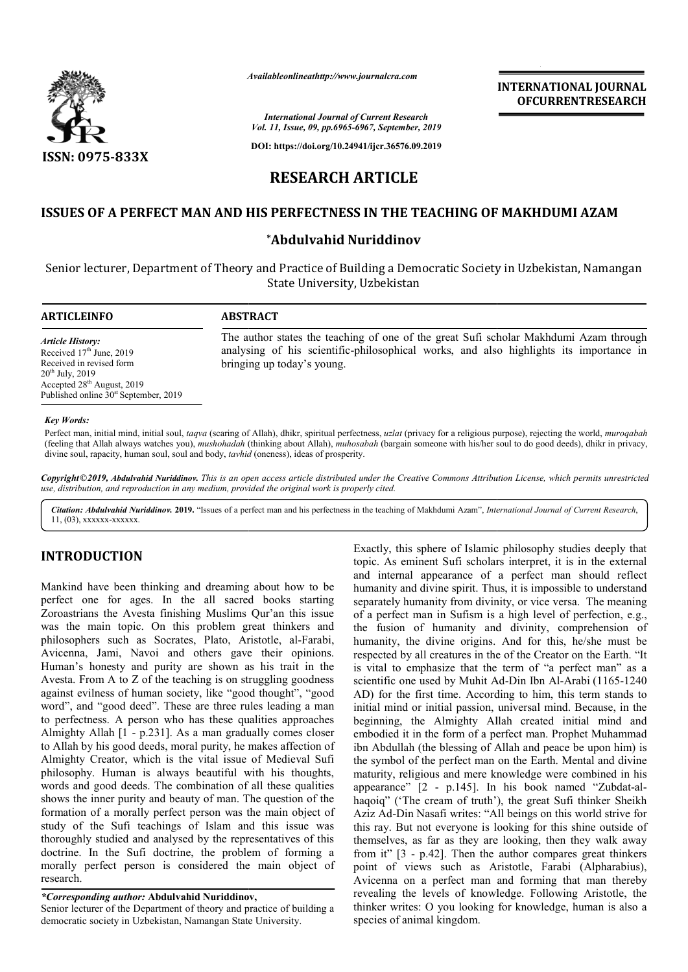

*Availableonlineathttp://www.journal Availableonlineathttp://www.journalcra.com*

**INTERNATIONAL JOURNAL OFCURRENTRESEARCH**

*International Journal of Current Research Vol. 11, Issue, 09, pp.6965-6967, September, 2019*

**DOI: https://doi.org/10.24941/ijcr.36576.09.2019**

# **RESEARCH ARTICLE**

## **ISSUES OF A PERFECT MAN AND HIS PERFECTN PERFECTNESS IN THE TEACHING OF MAKHDUMI AZAM**

#### **\*Abdulvahid Nuriddinov**

Senior lecturer, Department of Theory and Practice of Building a Democratic Society in Uzbekistan, Namangan State University, Uzbekistan

| <b>ARTICLEINFO</b>                                                                                                                                                                               | <b>ABSTRACT</b>                                                                                                                                                                                               |
|--------------------------------------------------------------------------------------------------------------------------------------------------------------------------------------------------|---------------------------------------------------------------------------------------------------------------------------------------------------------------------------------------------------------------|
| <b>Article History:</b><br>Received $17th$ June, 2019<br>Received in revised form<br>$20^{th}$ July, $2019$<br>Accepted $28th$ August, 2019<br>Published online 30 <sup>st</sup> September, 2019 | The author states the teaching of one of the great Sufi scholar Makhdumi Azam through<br>analysing of his scientific-philosophical works, and also highlights its importance in<br>bringing up today's young. |
| <b>Key Words:</b>                                                                                                                                                                                |                                                                                                                                                                                                               |

Perfect man, initial mind, initial soul, *taqva* (scaring of Allah), dhikr, spiritual perfectness, *uzlat* (privacy for a religious purpose), rejecting the world, *muroqabah* (feeling that Allah always watches you), *mushohadah* (thinking about Allah), *muhosabah* (bargain someone with his/her soul to do good deeds), dhikr in privacy, divine soul, rapacity, human soul, soul and body, *tavhid* (oneness), ideas of prosperity.

Copyright©2019, Abdulvahid Nuriddinov. This is an open access article distributed under the Creative Commons Attribution License, which permits unrestrictea *use, distribution, and reproduction in any medium, provided the original work is properly cited.*

Citation: Abdulvahid Nuriddinov. 2019. "Issues of a perfect man and his perfectness in the teaching of Makhdumi Azam", International Journal of Current Research, 11, (03), xxxxxx-xxxxxx.

### **INTRODUCTION**

Mankind have been thinking and dreaming about how to be perfect one for ages. In the all sacred books starting Zoroastrians the Avesta finishing Muslims Qur'an this issue was the main topic. On this problem great thinkers and philosophers such as Socrates, Plato, Aristotle, al-Farabi, Avicenna, Jami, Navoi and others gave their opinions. Human's honesty and purity are shown as his trait in the Avesta. From A to Z of the teaching is on struggling goodness against evilness of human society, like "good thought", "good word", and "good deed". These are three rules leading a man to perfectness. A person who has these qualities approaches Almighty Allah [1 - p.231]. As a man gradually comes closer to Allah by his good deeds, moral purity, he makes af affection of Almighty Creator, which is the vital issue of Medieval Sufi philosophy. Human is always beautiful with his thoughts, words and good deeds. The combination of all these qualities shows the inner purity and beauty of man. The question of the formation of a morally perfect person was the main object of study of the Sufi teachings of Islam and this issue was thoroughly studied and analysed by the representatives of this doctrine. In the Sufi doctrine, the problem of forming a morally perfect person is considered the main object of research.

#### *\*Corresponding author:* **Abdulvahid Nuriddinov,**

Senior lecturer of the Department of theory and practice of building a democratic society in Uzbekistan, Namangan State University.

**EXALLE SECTION**<br>
Exactly, this sphere of Islamic philosophy studies deeply that<br>
from Exact philosophy studies deeply<br>
that share of a perfect man should reflect<br>
and internal appearance of a perfect man should reflect<br> topic. As eminent Sufi scholars interpret, it is in the external and internal appearance of a perfect man should reflect humanity and divine spirit. Thus, it is impossible to understand separately humanity from divinity, or vice versa. The meaning of a perfect man in Sufism is a high level of perfection, e.g., the fusion of humanity and divinity, comprehension of humanity, the divine origins. And for this, he/she must be respected by all creatures in the of the Creator on the Earth. "It is vital to emphasize that the term of "a perfect man" as a scientific one used by Muhit Ad-Din Ibn Al-Arabi (1165-1240) AD) for the first time. According to him, this term stands to initial mind or initial passion, universal mind. Because, in the beginning, the Almighty Allah created initial mind and embodied it in the form of a perfect man. Prophet Muhammad ibn Abdullah (the blessing of Allah and peace be upon him) is the symbol of the perfect man on the Earth. M maturity, religious and mere knowledge were combined in his maturity, religious and mere knowledge were combined in his appearance" [2 - p.145]. In his book named "Zubdat-alhaqoiq" ('The cream of truth'), the great Sufi thinker Sheikh Aziz Ad-Din Nasafi writes: "All beings on this world strive for this ray. But not everyone is looking for this shine outside of themselves, as far as they are looking, then they walk away from it" [3 - p.42]. Then the author compares great thinkers point of views such as Aristotle, Farabi (Alpharabius), Avicenna on a perfect man and forming that man thereby revealing the levels of knowledge. Following Aristotle, the thinker writes: O you looking for knowledge, human is also a species of animal kingdom. actly, this sphere of Islamic philosophy studies deeply that<br>bic. As eminent Sufi scholars interpret, it is in the external<br>d internal appearance of a perfect man should reflect<br>manity and divine spirit. Thus, it is imposs ) for the first time. According to him, this term stands to al mind or initial passion, universal mind. Because, in the inning, the Almighty Allah created initial mind and oodied it in the form of a perfect man. Prophet Mu **INTERNATIONAL JOURNAL**<br> **Converted to the control of the control of the control of the system (30)<br>
The CFA CHING OF MAKHDUMI AZAM novel<br>
IE TEACHING OF MAKHDUMI AZAM novel<br>
DE E<br>
IE TEACHING OF MAKHDUMI AZAM novel<br>
2016**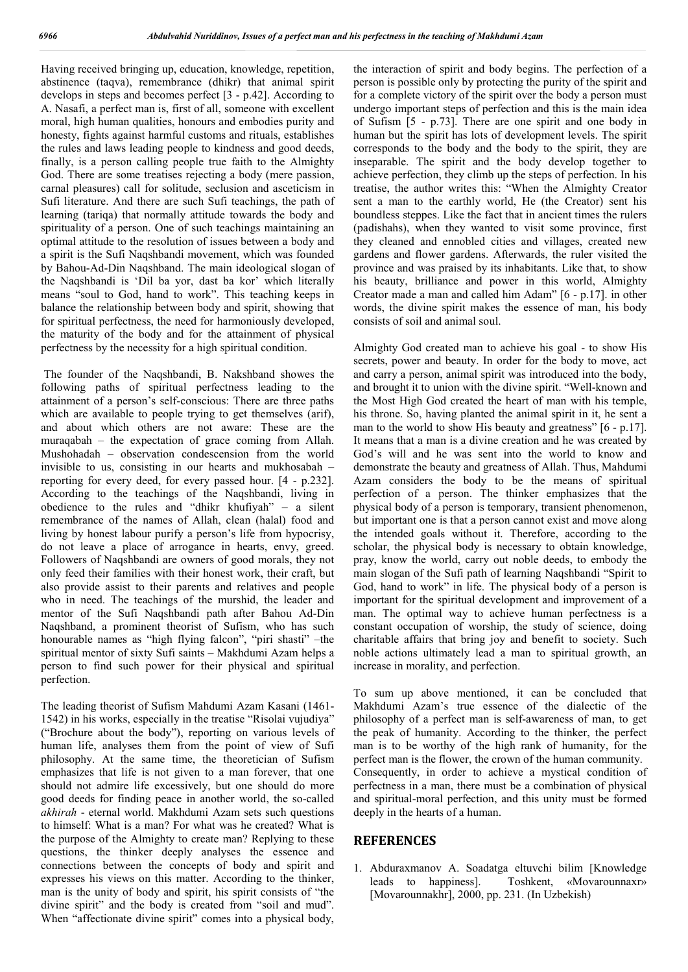Having received bringing up, education, knowledge, repetition, abstinence (taqva), remembrance (dhikr) that animal spirit develops in steps and becomes perfect [3 - p.42]. According to A. Nasafi, a perfect man is, first of all, someone with excellent moral, high human qualities, honours and embodies purity and honesty, fights against harmful customs and rituals, establishes the rules and laws leading people to kindness and good deeds, finally, is a person calling people true faith to the Almighty God. There are some treatises rejecting a body (mere passion, carnal pleasures) call for solitude, seclusion and asceticism in Sufi literature. And there are such Sufi teachings, the path of learning (tariqa) that normally attitude towards the body and spirituality of a person. One of such teachings maintaining an optimal attitude to the resolution of issues between a body and a spirit is the Sufi Naqshbandi movement, which was founded by Bahou-Ad-Din Naqshband. The main ideological slogan of the Naqshbandi is 'Dil ba yor, dast ba kor' which literally means "soul to God, hand to work". This teaching keeps in balance the relationship between body and spirit, showing that for spiritual perfectness, the need for harmoniously developed, the maturity of the body and for the attainment of physical perfectness by the necessity for a high spiritual condition.

The founder of the Naqshbandi, B. Nakshband showes the following paths of spiritual perfectness leading to the attainment of a person's self-conscious: There are three paths which are available to people trying to get themselves (arif), and about which others are not aware: These are the muraqabah – the expectation of grace coming from Allah. Mushohadah – observation condescension from the world invisible to us, consisting in our hearts and mukhosabah – reporting for every deed, for every passed hour. [4 - p.232]. According to the teachings of the Naqshbandi, living in obedience to the rules and "dhikr khufiyah" – a silent remembrance of the names of Allah, clean (halal) food and living by honest labour purify a person's life from hypocrisy, do not leave a place of arrogance in hearts, envy, greed. Followers of Naqshbandi are owners of good morals, they not only feed their families with their honest work, their craft, but also provide assist to their parents and relatives and people who in need. The teachings of the murshid, the leader and mentor of the Sufi Naqshbandi path after Bahou Ad-Din Naqshband, a prominent theorist of Sufism, who has such honourable names as "high flying falcon", "piri shasti" –the spiritual mentor of sixty Sufi saints – Makhdumi Azam helps a person to find such power for their physical and spiritual perfection.

The leading theorist of Sufism Mahdumi Azam Kasani (1461- 1542) in his works, especially in the treatise "Risolai vujudiya" ("Brochure about the body"), reporting on various levels of human life, analyses them from the point of view of Sufi philosophy. At the same time, the theoretician of Sufism emphasizes that life is not given to a man forever, that one should not admire life excessively, but one should do more good deeds for finding peace in another world, the so-called *akhirah* - eternal world. Makhdumi Azam sets such questions to himself: What is a man? For what was he created? What is the purpose of the Almighty to create man? Replying to these questions, the thinker deeply analyses the essence and connections between the concepts of body and spirit and expresses his views on this matter. According to the thinker, man is the unity of body and spirit, his spirit consists of "the divine spirit" and the body is created from "soil and mud". When "affectionate divine spirit" comes into a physical body,

the interaction of spirit and body begins. The perfection of a person is possible only by protecting the purity of the spirit and for a complete victory of the spirit over the body a person must undergo important steps of perfection and this is the main idea of Sufism [5 - p.73]. There are one spirit and one body in human but the spirit has lots of development levels. The spirit corresponds to the body and the body to the spirit, they are inseparable. The spirit and the body develop together to achieve perfection, they climb up the steps of perfection. In his treatise, the author writes this: "When the Almighty Creator sent a man to the earthly world, He (the Creator) sent his boundless steppes. Like the fact that in ancient times the rulers (padishahs), when they wanted to visit some province, first they cleaned and ennobled cities and villages, created new gardens and flower gardens. Afterwards, the ruler visited the province and was praised by its inhabitants. Like that, to show his beauty, brilliance and power in this world, Almighty Creator made a man and called him Adam" [6 - p.17]. in other words, the divine spirit makes the essence of man, his body consists of soil and animal soul.

Almighty God created man to achieve his goal - to show His secrets, power and beauty. In order for the body to move, act and carry a person, animal spirit was introduced into the body, and brought it to union with the divine spirit. "Well-known and the Most High God created the heart of man with his temple, his throne. So, having planted the animal spirit in it, he sent a man to the world to show His beauty and greatness" [6 - p.17]. It means that a man is a divine creation and he was created by God's will and he was sent into the world to know and demonstrate the beauty and greatness of Allah. Thus, Mahdumi Azam considers the body to be the means of spiritual perfection of a person. The thinker emphasizes that the physical body of a person is temporary, transient phenomenon, but important one is that a person cannot exist and move along the intended goals without it. Therefore, according to the scholar, the physical body is necessary to obtain knowledge, pray, know the world, carry out noble deeds, to embody the main slogan of the Sufi path of learning Naqshbandi "Spirit to God, hand to work" in life. The physical body of a person is important for the spiritual development and improvement of a man. The optimal way to achieve human perfectness is a constant occupation of worship, the study of science, doing charitable affairs that bring joy and benefit to society. Such noble actions ultimately lead a man to spiritual growth, an increase in morality, and perfection.

To sum up above mentioned, it can be concluded that Makhdumi Azam's true essence of the dialectic of the philosophy of a perfect man is self-awareness of man, to get the peak of humanity. According to the thinker, the perfect man is to be worthy of the high rank of humanity, for the perfect man is the flower, the crown of the human community. Consequently, in order to achieve a mystical condition of perfectness in a man, there must be a combination of physical and spiritual-moral perfection, and this unity must be formed deeply in the hearts of a human.

#### **REFERENCES**

1. Abduraxmanov A. Soadatga eltuvchi bilim [Knowledge leads to happiness]. Toshkent, «Movarounnaxr» [Movarounnakhr], 2000, pp. 231. (In Uzbekish)